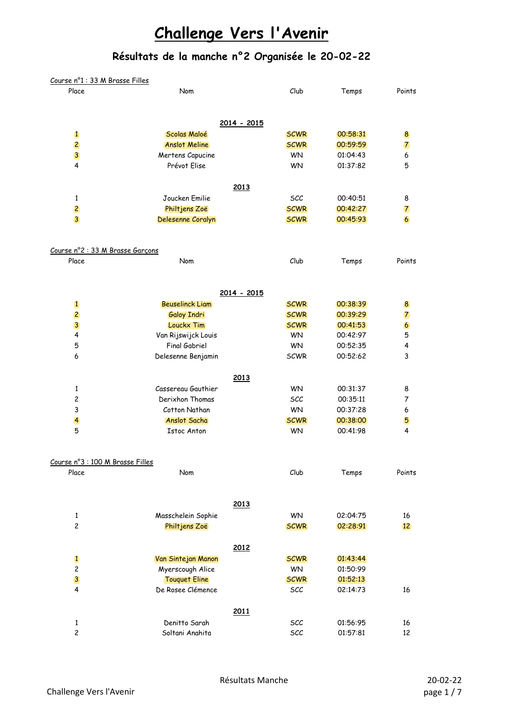| Course nº1 : 33 M Brasse Filles           |                        |             |          |                  |
|-------------------------------------------|------------------------|-------------|----------|------------------|
| Place                                     | Nom                    | Club        | Temps    | Points           |
|                                           |                        |             |          |                  |
|                                           | 2014 - 2015            |             |          |                  |
| $\mathbf{1}$                              | Scolas Maloé           | <b>SCWR</b> | 00:58:31 | 8                |
| $\overline{2}$                            | <b>Anslot Meline</b>   | <b>SCWR</b> | 00:59:59 | 7                |
| $\overline{\mathbf{3}}$                   | Mertens Capucine       | <b>WN</b>   | 01:04:43 | 6                |
| 4                                         | Prévot Elise           | <b>WN</b>   | 01:37:82 | 5                |
|                                           | 2013                   |             |          |                  |
| 1                                         | Joucken Emilie         | SCC         | 00:40:51 | 8                |
| $\overline{c}$                            | Philtjens Zoë          | <b>SCWR</b> | 00:42:27 | 7                |
| $\overline{3}$                            | Delesenne Coralyn      | <b>SCWR</b> | 00:45:93 | 6                |
|                                           |                        |             |          |                  |
| Course n°2 : 33 M Brasse Garçons<br>Place | Nom                    | Club        | Temps    | Points           |
|                                           |                        |             |          |                  |
|                                           | 2014 - 2015            |             |          |                  |
| $\mathbf{1}$                              | <b>Beuselinck Liam</b> | <b>SCWR</b> | 00:38:39 | 8                |
| $\overline{c}$                            | <b>Galoy Indri</b>     | <b>SCWR</b> | 00:39:29 | 7                |
| $\overline{\mathbf{3}}$                   | Louckx Tim             | <b>SCWR</b> | 00:41:53 | $\boldsymbol{6}$ |
| 4                                         | Van Rijswijck Louis    | <b>WN</b>   | 00:42:97 | 5                |
| 5                                         | Final Gabriel          | <b>WN</b>   | 00:52:35 | 4                |
| 6                                         | Delesenne Benjamin     | <b>SCWR</b> | 00:52:62 | 3                |
|                                           | 2013                   |             |          |                  |
| 1                                         | Cassereau Gauthier     | <b>WN</b>   | 00:31:37 | 8                |
| $\overline{\mathbf{c}}$                   | Derixhon Thomas        | <b>SCC</b>  | 00:35:11 | 7                |
| 3                                         | Cotton Nathan          | WN          | 00:37:28 | 6                |
| $\overline{\mathbf{4}}$                   | Anslot Sacha           | <b>SCWR</b> | 00:38:00 | 5                |
| 5                                         | <b>Istoc Anton</b>     | <b>WN</b>   | 00:41:98 | $\overline{4}$   |
|                                           |                        |             |          |                  |
| Course n°3 : 100 M Brasse Filles<br>Place | Nom                    | Club        | Temps    | Points           |
|                                           |                        |             |          |                  |
|                                           | 2013                   |             |          |                  |
| 1                                         | Masschelein Sophie     | WN          | 02:04:75 | 16               |
| $\overline{c}$                            | Philtjens Zoë          | <b>SCWR</b> | 02:28:91 | 12               |
|                                           | 2012                   |             |          |                  |
| $\mathbf{1}$                              | Van Sintejan Manon     | <b>SCWR</b> | 01:43:44 |                  |
| $\overline{c}$                            | Myerscough Alice       | <b>WN</b>   | 01:50:99 |                  |
| $\overline{\mathbf{3}}$                   | <b>Touquet Eline</b>   | <b>SCWR</b> | 01:52:13 |                  |
| 4                                         | De Rosee Clémence      | SCC         | 02:14:73 |                  |
|                                           |                        |             |          | 16               |
|                                           | 2011                   |             |          |                  |
| $\mathbf{1}$                              | Denitto Sarah          | SCC         | 01:56:95 | 16               |
| $\overline{c}$                            | Soltani Anahita        | SCC         | 01:57:81 | 12               |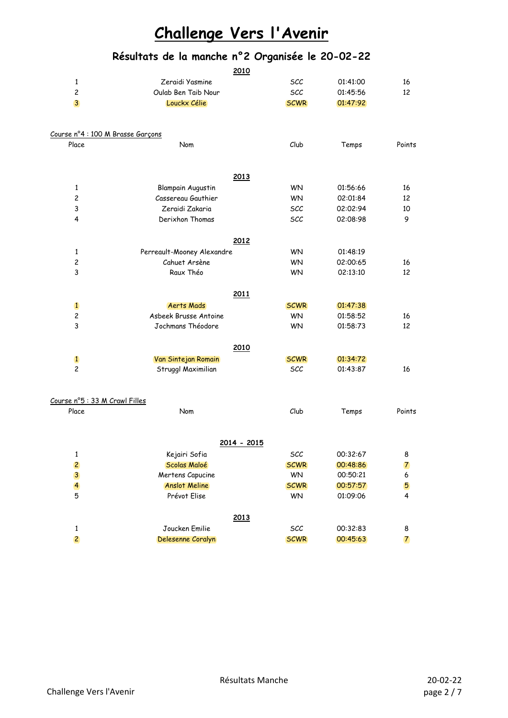|                                   | <u>2010</u>                |             |          |                |
|-----------------------------------|----------------------------|-------------|----------|----------------|
| 1                                 | Zeraidi Yasmine            | <b>SCC</b>  | 01:41:00 | 16             |
| $\overline{c}$                    | Oulab Ben Taib Nour        | <b>SCC</b>  | 01:45:56 | 12             |
| 3                                 | Louckx Célie               | <b>SCWR</b> | 01:47:92 |                |
| Course nº4 : 100 M Brasse Garçons |                            |             |          |                |
| Place                             | Nom                        | Club        | Temps    | Points         |
|                                   | 2013                       |             |          |                |
| 1                                 | <b>Blampain Augustin</b>   | <b>WN</b>   | 01:56:66 | 16             |
| $\overline{c}$                    | Cassereau Gauthier         | <b>WN</b>   | 02:01:84 | 12             |
| 3                                 | Zeraidi Zakaria            | SCC         | 02:02:94 | 10             |
| 4                                 | Derixhon Thomas            | SCC         | 02:08:98 | 9              |
|                                   | 2012                       |             |          |                |
| 1                                 | Perreault-Mooney Alexandre | <b>WN</b>   | 01:48:19 |                |
| $\overline{c}$                    | Cahuet Arsène              | <b>WN</b>   | 02:00:65 | 16             |
| 3                                 | Raux Théo                  | <b>WN</b>   | 02:13:10 | 12             |
|                                   | 2011                       |             |          |                |
| $\mathbf{1}$                      | <b>Aerts Mads</b>          | <b>SCWR</b> | 01:47:38 |                |
| 2                                 | Asbeek Brusse Antoine      | <b>WN</b>   | 01:58:52 | 16             |
| 3                                 | Jochmans Théodore          | <b>WN</b>   | 01:58:73 | 12             |
|                                   | 2010                       |             |          |                |
| $\mathbf{1}$                      | Van Sintejan Romain        | <b>SCWR</b> | 01:34:72 |                |
| $\overline{c}$                    | Struggl Maximilian         | <b>SCC</b>  | 01:43:87 | 16             |
| Course nº5 : 33 M Crawl Filles    |                            |             |          |                |
| Place                             | Nom                        | Club        | Temps    | Points         |
|                                   | <u> 2014 - 2015</u>        |             |          |                |
| 1                                 | Kejairi Sofia              | SCC         | 00:32:67 | 8              |
| $\overline{c}$                    | Scolas Maloé               | <b>SCWR</b> | 00:48:86 | $\overline{7}$ |
| $\mathbf{3}$                      | Mertens Capucine           | WN          | 00:50:21 | 6              |
| $\overline{\mathbf{4}}$           | <b>Anslot Meline</b>       | <b>SCWR</b> | 00:57:57 | 5              |
| 5                                 | Prévot Elise               | <b>WN</b>   | 01:09:06 | 4              |
|                                   | 2013                       |             |          |                |
| $\mathbf 1$                       | Joucken Emilie             | SCC         | 00:32:83 | 8              |
| $\overline{c}$                    | Delesenne Coralyn          | <b>SCWR</b> | 00:45:63 | $\overline{7}$ |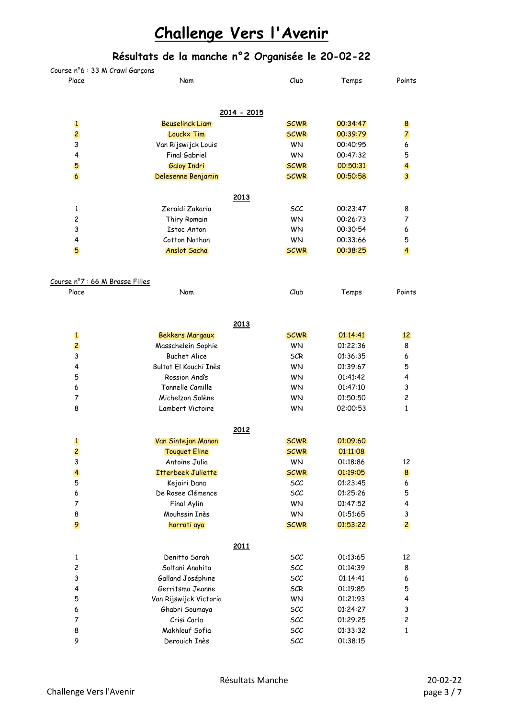| <u>Course n°6 : 33 M Crawl Garcons</u> |                           |             |          |                         |
|----------------------------------------|---------------------------|-------------|----------|-------------------------|
| Place                                  | Nom                       | Club        | Temps    | Points                  |
|                                        |                           |             |          |                         |
|                                        | 2014 - 2015               |             |          |                         |
| $\mathbf{1}$                           | <b>Beuselinck Liam</b>    | <b>SCWR</b> | 00:34:47 | 8                       |
| $\overline{c}$                         | Louckx Tim                | <b>SCWR</b> | 00:39:79 | $\overline{7}$          |
| 3                                      | Van Rijswijck Louis       | <b>WN</b>   | 00:40:95 | 6                       |
| 4                                      | Final Gabriel             | <b>WN</b>   | 00:47:32 | 5                       |
| 5                                      | <b>Galoy Indri</b>        | <b>SCWR</b> | 00:50:31 | $\overline{\mathbf{4}}$ |
| 6                                      | Delesenne Benjamin        | <b>SCWR</b> | 00:50:58 | 3                       |
|                                        | 2013                      |             |          |                         |
| 1                                      | Zeraidi Zakaria           | <b>SCC</b>  | 00:23:47 | 8                       |
| 2                                      | Thiry Romain              | <b>WN</b>   | 00:26:73 | 7                       |
| 3                                      | <b>Istoc Anton</b>        | <b>WN</b>   | 00:30:54 | 6                       |
| 4                                      | Cotton Nathan             | <b>WN</b>   | 00:33:66 | 5                       |
| 5                                      | Anslot Sacha              | <b>SCWR</b> | 00:38:25 | $\overline{\mathbf{4}}$ |
|                                        |                           |             |          |                         |
| Course nº7 : 66 M Brasse Filles        |                           |             |          |                         |
| Place                                  | Nom                       | Club        | Temps    | Points                  |
|                                        | 2013                      |             |          |                         |
| $\mathbf{1}$                           |                           | <b>SCWR</b> | 01:14:41 | 12                      |
|                                        | <b>Bekkers Margaux</b>    |             |          |                         |
| $\overline{c}$                         | Masschelein Sophie        | <b>WN</b>   | 01:22:36 | 8                       |
| 3                                      | <b>Buchet Alice</b>       | <b>SCR</b>  | 01:36:35 | 6                       |
| 4                                      | Bultot El Kouchi Inès     | <b>WN</b>   | 01:39:67 | 5                       |
| 5                                      | Rossion Anaîs             | <b>WN</b>   | 01:41:42 | 4                       |
| 6                                      | Tonnelle Camille          | <b>WN</b>   | 01:47:10 | 3                       |
| 7                                      | Michelzon Solène          | <b>WN</b>   | 01:50:50 | $\overline{\mathbf{c}}$ |
| 8                                      | Lambert Victoire          | <b>WN</b>   | 02:00:53 | 1                       |
|                                        | 2012                      |             |          |                         |
| $\mathbf{1}$                           | Van Sintejan Manon        | <b>SCWR</b> | 01:09:60 |                         |
| $\overline{c}$                         | <b>Touquet Eline</b>      | <b>SCWR</b> | 01:11:08 |                         |
| 3                                      | Antoine Julia             | <b>WN</b>   | 01:18:86 | 12                      |
| $\overline{\mathbf{4}}$                | <b>Itterbeek Juliette</b> | <b>SCWR</b> | 01:19:05 | $\boldsymbol{8}$        |
| 5                                      | Kejairi Dana              | SCC         | 01:23:45 | 6                       |
| 6                                      | De Rosee Clémence         | SCC         | 01:25:26 | 5                       |
| $\overline{7}$                         | Final Aylin               | <b>WN</b>   | 01:47:52 | 4                       |
| 8                                      | Mouhssin Inès             | <b>WN</b>   | 01:51:65 | 3                       |
| 9                                      | harrati aya               | <b>SCWR</b> | 01:53:22 | $\overline{c}$          |
|                                        | 2011                      |             |          |                         |
| 1                                      | Denitto Sarah             | SCC         | 01:13:65 | 12                      |
| $\overline{\mathbf{c}}$                | Soltani Anahita           | SCC         | 01:14:39 | 8                       |
| 3                                      | Galland Joséphine         | SCC         | 01:14:41 | 6                       |
| 4                                      | Gerritsma Jeanne          | <b>SCR</b>  | 01:19:85 | 5                       |
| 5                                      | Van Rijswijck Victoria    | <b>WN</b>   | 01:21:93 | 4                       |
| 6                                      | Ghabri Soumaya            | SCC         | 01:24:27 | 3                       |
| $\overline{7}$                         | Crisi Carla               | SCC         | 01:29:25 | $\overline{c}$          |
| 8                                      | Makhlouf Sofia            | SCC         | 01:33:32 | 1                       |
| 9                                      | Derouich Inès             | SCC         | 01:38:15 |                         |
|                                        |                           |             |          |                         |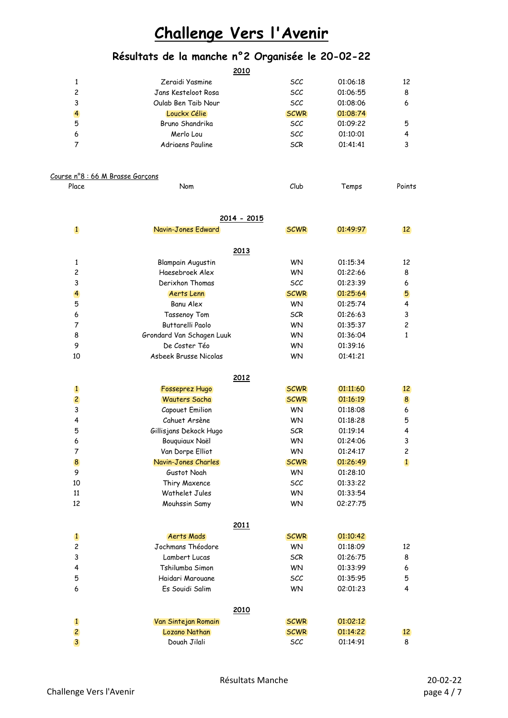### **Résultats de la manche n°2 Organisée le 20-02-22**

|   | 2010                |             |          |    |
|---|---------------------|-------------|----------|----|
|   | Zeraidi Yasmine     | <i>SCC</i>  | 01:06:18 | 12 |
| 2 | Jans Kesteloot Rosa | scc         | 01:06:55 | 8  |
| 3 | Oulab Ben Taib Nour | <b>SCC</b>  | 01:08:06 | 6  |
| 4 | Louckx Célie        | <b>SCWR</b> | 01:08:74 |    |
| 5 | Bruno Shandrika     | scc         | 01:09:22 | 5  |
| 6 | Merlo Lou           | <b>SCC</b>  | 01:10:01 | 4  |
|   | Adrigens Pauline    | <b>SCR</b>  | 01:41:41 | 3  |
|   |                     |             |          |    |

#### Course n°8 : 66 M Brasse Garçons

| Place | Nom | Club<br>Temps | Points |
|-------|-----|---------------|--------|
|       |     |               |        |

|                | 2014 - 2015               |             |          |                 |
|----------------|---------------------------|-------------|----------|-----------------|
| $\mathbf{1}$   | Navin-Jones Edward        | <b>SCWR</b> | 01:49:97 | 12 <sup>2</sup> |
|                | 2013                      |             |          |                 |
| 1              | <b>Blampain Augustin</b>  | <b>WN</b>   | 01:15:34 | 12              |
| 2              | Haesebroek Alex           | <b>WN</b>   | 01:22:66 | 8               |
| 3              | Derixhon Thomas           | <b>SCC</b>  | 01:23:39 | 6               |
| 4              | Aerts Lenn                | <b>SCWR</b> | 01:25:64 | 5               |
| 5              | <b>Banu Alex</b>          | <b>WN</b>   | 01:25:74 | 4               |
| 6              | Tassenoy Tom              | <b>SCR</b>  | 01:26:63 | 3               |
| 7              | Buttarelli Paolo          | <b>WN</b>   | 01:35:37 | 2               |
| 8              | Grondard Van Schagen Luuk | <b>WN</b>   | 01:36:04 | $\mathbf{1}$    |
| 9              | De Coster Téo             | <b>WN</b>   | 01:39:16 |                 |
| 10             | Asbeek Brusse Nicolas     | <b>WN</b>   | 01:41:21 |                 |
|                | 2012                      |             |          |                 |
| $\mathbf{1}$   | Fosseprez Hugo            | <b>SCWR</b> | 01:11:60 | 12              |
| 2              | <b>Wauters Sacha</b>      | <b>SCWR</b> | 01:16:19 | 8               |
| 3              | Capouet Emilion           | <b>WN</b>   | 01:18:08 | 6               |
| 4              | Cahuet Arsène             | <b>WN</b>   | 01:18:28 | 5               |
| 5              | Gillisjans Dekock Hugo    | <b>SCR</b>  | 01:19:14 | 4               |
| 6              | Bouquiaux Naël            | <b>WN</b>   | 01:24:06 | 3               |
| 7              | Van Dorpe Elliot          | <b>WN</b>   | 01:24:17 | $\overline{c}$  |
| 8              | Navin-Jones Charles       | <b>SCWR</b> | 01:26:49 | $\mathbf{1}$    |
| 9              | Gustot Noah               | <b>WN</b>   | 01:28:10 |                 |
| 10             | Thiry Maxence             | scc         | 01:33:22 |                 |
| 11             | Wathelet Jules            | <b>WN</b>   | 01:33:54 |                 |
| 12             | Mouhssin Samy             | <b>WN</b>   | 02:27:75 |                 |
|                | 2011                      |             |          |                 |
| $\mathbf{1}$   | <b>Aerts Mads</b>         | <b>SCWR</b> | 01:10:42 |                 |
| $\overline{c}$ | Jochmans Théodore         | <b>WN</b>   | 01:18:09 | 12              |
| 3              | Lambert Lucas             | <b>SCR</b>  | 01:26:75 | 8               |
| 4              | Tshilumba Simon           | <b>WN</b>   | 01:33:99 | 6               |
| 5              | Haidari Marouane          | <b>SCC</b>  | 01:35:95 | 5               |
| 6              | Es Souidi Salim           | <b>WN</b>   | 02:01:23 | 4               |
|                | 2010                      |             |          |                 |
| $\mathbf{1}$   | Van Sintejan Romain       | <b>SCWR</b> | 01:02:12 |                 |
| $\overline{c}$ | Lozano Nathan             | <b>SCWR</b> | 01:14:22 | 12              |

3 Douah Jilali SCC 01:14:91 8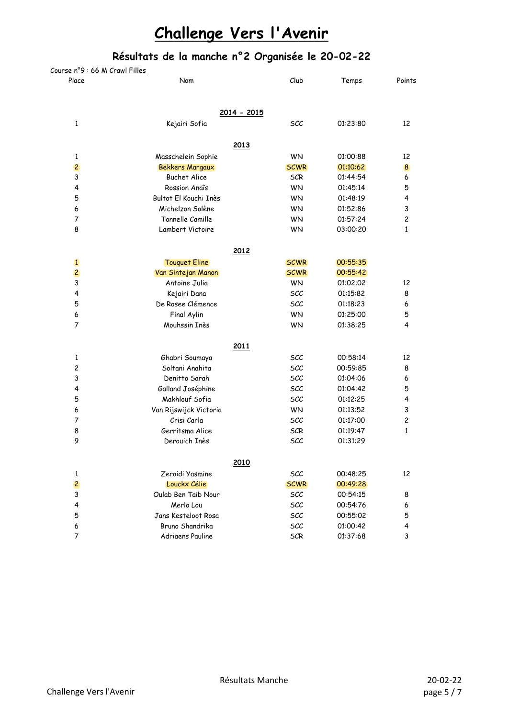| Course nº9 : 66 M Crawl Filles |                        |             |          |                |
|--------------------------------|------------------------|-------------|----------|----------------|
| Place                          | Nom                    | Club        | Temps    | Points         |
|                                | 2014 - 2015            |             |          |                |
| $\mathbf{1}$                   | Kejairi Sofia          | SCC         | 01:23:80 | 12             |
|                                | 2013                   |             |          |                |
| 1                              | Masschelein Sophie     | <b>WN</b>   | 01:00:88 | 12             |
| $\overline{c}$                 | <b>Bekkers Margaux</b> | <b>SCWR</b> | 01:10:62 | 8              |
| 3                              | <b>Buchet Alice</b>    | <b>SCR</b>  | 01:44:54 | 6              |
| 4                              | Rossion Anaîs          | WN          | 01:45:14 | 5              |
| 5                              | Bultot El Kouchi Inès  | <b>WN</b>   | 01:48:19 | 4              |
| 6                              | Michelzon Solène       | <b>WN</b>   | 01:52:86 | 3              |
| $\overline{7}$                 | Tonnelle Camille       | <b>WN</b>   | 01:57:24 | $\overline{c}$ |
| 8                              | Lambert Victoire       | <b>WN</b>   | 03:00:20 | 1              |
|                                | 2012                   |             |          |                |
| $\mathbf{1}$                   | <b>Touquet Eline</b>   | <b>SCWR</b> | 00:55:35 |                |
| $\overline{c}$                 | Van Sintejan Manon     | <b>SCWR</b> | 00:55:42 |                |
| $\mathbf{3}$                   | Antoine Julia          | <b>WN</b>   | 01:02:02 | 12             |
| 4                              | Kejairi Dana           | SCC         | 01:15:82 | 8              |
| 5                              | De Rosee Clémence      | SCC         | 01:18:23 | 6              |
| 6                              | Final Aylin            | WN          | 01:25:00 | 5              |
| $\overline{7}$                 | Mouhssin Inès          | <b>WN</b>   | 01:38:25 | 4              |
|                                | 2011                   |             |          |                |
| 1                              | Ghabri Soumaya         | SCC         | 00:58:14 | 12             |
| $\mathbf{2}$                   | Soltani Anahita        | SCC         | 00:59:85 | 8              |
| 3                              | Denitto Sarah          | SCC         | 01:04:06 | 6              |
| 4                              | Galland Joséphine      | <b>SCC</b>  | 01:04:42 | 5              |
| 5                              | Makhlouf Sofia         | SCC         | 01:12:25 | 4              |
| 6                              | Van Rijswijck Victoria | <b>WN</b>   | 01:13:52 | 3              |
| $\overline{7}$                 | Crisi Carla            | SCC         | 01:17:00 | $\overline{c}$ |
| 8                              | Gerritsma Alice        | <b>SCR</b>  | 01:19:47 | $\mathbf{1}$   |
| 9                              | Derouich Inès          | SCC         | 01:31:29 |                |
|                                | 2010                   |             |          |                |
| 1                              | Zeraidi Yasmine        | <b>SCC</b>  | 00:48:25 | 12             |
| $\overline{c}$                 | Louckx Célie           | <b>SCWR</b> | 00:49:28 |                |
| 3                              | Oulab Ben Taib Nour    | <b>SCC</b>  | 00:54:15 | 8              |
| 4                              | Merlo Lou              | <b>SCC</b>  | 00:54:76 | 6              |
| 5                              | Jans Kesteloot Rosa    | <b>SCC</b>  | 00:55:02 | 5              |
| 6                              | Bruno Shandrika        | <b>SCC</b>  | 01:00:42 | 4              |
| 7                              | Adriaens Pauline       | <b>SCR</b>  | 01:37:68 | 3              |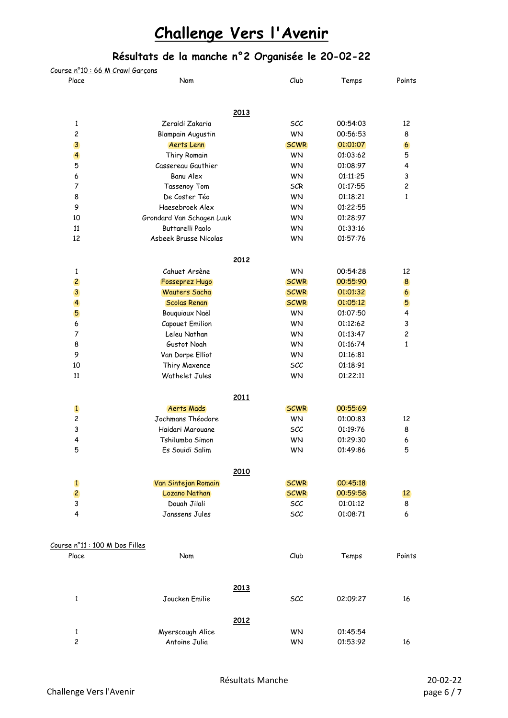| <u> Course nº10 : 66 M Crawl Garçons</u> |                                      |                    |                      |                |
|------------------------------------------|--------------------------------------|--------------------|----------------------|----------------|
| Place                                    | Nom                                  | Club               | Temps                | Points         |
|                                          | 2013                                 |                    |                      |                |
| $\mathbf{1}$                             | Zeraidi Zakaria                      | <b>SCC</b>         | 00:54:03             | 12             |
| $\overline{c}$                           | <b>Blampain Augustin</b>             | <b>WN</b>          | 00:56:53             | 8              |
| 3                                        | Aerts Lenn                           | <b>SCWR</b>        | 01:01:07             | $\overline{6}$ |
| $\overline{\mathbf{r}}$                  | Thiry Romain                         | <b>WN</b>          | 01:03:62             | 5              |
| 5                                        | Cassereau Gauthier                   | <b>WN</b>          | 01:08:97             | 4              |
| 6                                        | <b>Banu Alex</b>                     | <b>WN</b>          | 01:11:25             | $\mathbf{3}$   |
| $\overline{7}$                           | Tassenoy Tom                         | <b>SCR</b>         | 01:17:55             | $\overline{c}$ |
| 8                                        | De Coster Téo                        | <b>WN</b>          | 01:18:21             | 1              |
| 9                                        | Haesebroek Alex                      | <b>WN</b>          | 01:22:55             |                |
| 10                                       | Grondard Van Schagen Luuk            | <b>WN</b>          | 01:28:97             |                |
| 11                                       | Buttarelli Paolo                     | <b>WN</b>          | 01:33:16             |                |
| 12                                       | Asbeek Brusse Nicolas                | <b>WN</b>          | 01:57:76             |                |
|                                          | 2012                                 |                    |                      |                |
| 1                                        | Cahuet Arsène                        | WN                 | 00:54:28             | 12             |
| $\overline{c}$                           | Fosseprez Hugo                       | <b>SCWR</b>        | 00:55:90             | 8              |
| $\overline{\mathbf{3}}$                  | <b>Wauters Sacha</b>                 | <b>SCWR</b>        | 01:01:32             | $\overline{6}$ |
| $\overline{4}$                           | <b>Scolas Renan</b>                  | <b>SCWR</b>        | 01:05:12             | 5              |
| 5                                        | Bouquiaux Naël                       | <b>WN</b>          | 01:07:50             | 4              |
| 6                                        | Capouet Emilion                      | <b>WN</b>          | 01:12:62             | $\mathsf 3$    |
| 7                                        | Leleu Nathan                         | <b>WN</b>          | 01:13:47             | $\overline{c}$ |
| 8                                        | Gustot Noah                          | <b>WN</b>          | 01:16:74             | 1              |
| 9                                        | Van Dorpe Elliot                     | <b>WN</b>          | 01:16:81             |                |
| 10                                       | Thiry Maxence                        | SCC                | 01:18:91             |                |
| 11                                       | Wathelet Jules                       | <b>WN</b>          | 01:22:11             |                |
|                                          | 2011                                 |                    |                      |                |
| $\mathbf{1}$                             | <b>Aerts Mads</b>                    | <b>SCWR</b>        | 00:55:69             |                |
| $\overline{c}$                           | Jochmans Théodore                    | <b>WN</b>          | 01:00:83             | 12             |
| 3                                        | Haidari Marouane                     | SCC                | 01:19:76             | 8              |
| 4                                        | Tshilumba Simon                      | <b>WN</b>          | 01:29:30             | 6              |
| 5                                        | Es Souidi Salim                      | WN                 | 01:49:86             | 5              |
|                                          | 2010                                 |                    |                      |                |
| $\mathbf{1}$<br>$\overline{c}$           | Van Sintejan Romain<br>Lozano Nathan | <b>SCWR</b>        | 00:45:18             |                |
| 3                                        | Douah Jilali                         | <b>SCWR</b><br>SCC | 00:59:58<br>01:01:12 | 12             |
| 4                                        | Janssens Jules                       | SCC                | 01:08:71             | 8<br>6         |
| Course nº11 : 100 M Dos Filles           |                                      |                    |                      |                |
| Place                                    | Nom                                  | Club               | Temps                | Points         |
|                                          | 2013                                 |                    |                      |                |
| $\mathbf{1}$                             | Joucken Emilie                       | SCC                | 02:09:27             | 16             |
|                                          | 2012                                 |                    |                      |                |
| 1                                        | Myerscough Alice                     | <b>WN</b>          | 01:45:54             |                |
| $\overline{c}$                           | Antoine Julia                        | <b>WN</b>          | 01:53:92             | 16             |